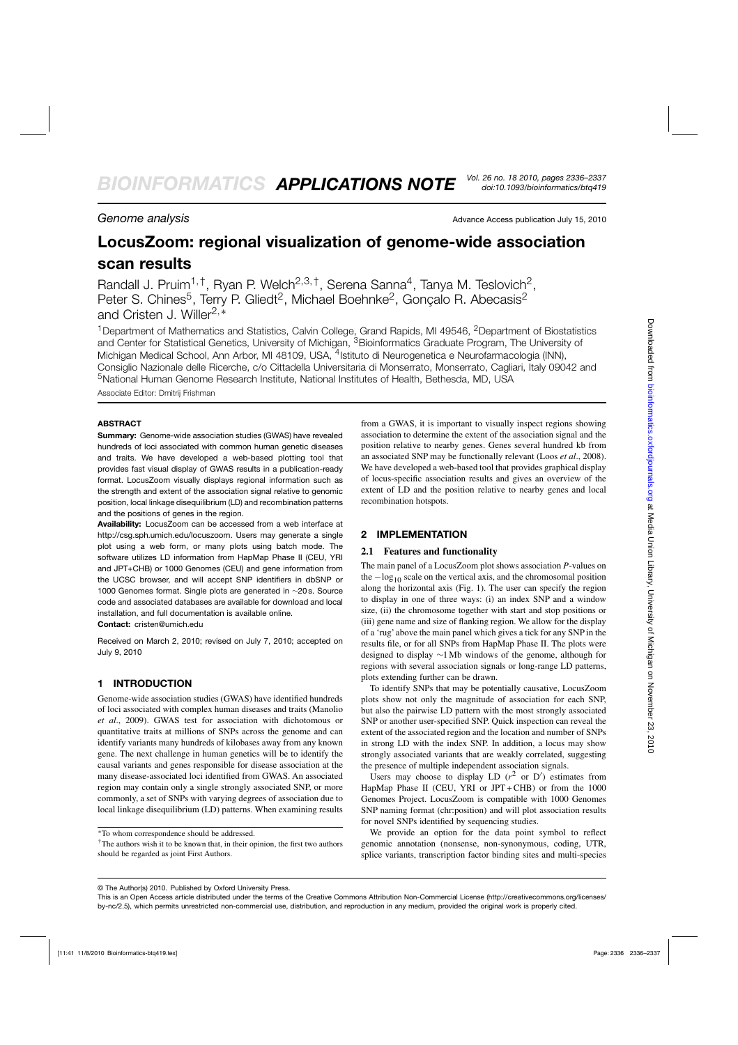**Genome analysis Advance Access publication July 15, 2010** Advance Access publication July 15, 2010

*doi:10.1093/bioinformatics/btq419*

# **LocusZoom: regional visualization of genome-wide association scan results**

Randall J. Pruim<sup>1,†</sup>, Ryan P. Welch<sup>2,3,†</sup>, Serena Sanna<sup>4</sup>, Tanya M. Teslovich<sup>2</sup>, Peter S. Chines<sup>5</sup>, Terry P. Gliedt<sup>2</sup>, Michael Boehnke<sup>2</sup>, Gonçalo R. Abecasis<sup>2</sup> and Cristen J. Willer2,<sup>∗</sup>

<sup>1</sup>Department of Mathematics and Statistics, Calvin College, Grand Rapids, MI 49546, <sup>2</sup>Department of Biostatistics and Center for Statistical Genetics, University of Michigan, <sup>3</sup>Bioinformatics Graduate Program, The University of Michigan Medical School, Ann Arbor, MI 48109, USA, <sup>4</sup>Istituto di Neurogenetica e Neurofarmacologia (INN), Consiglio Nazionale delle Ricerche, c/o Cittadella Universitaria di Monserrato, Monserrato, Cagliari, Italy 09042 and 5National Human Genome Research Institute, National Institutes of Health, Bethesda, MD, USA Associate Editor: Dmitrij Frishman

### **ABSTRACT**

**Summary:** Genome-wide association studies (GWAS) have revealed hundreds of loci associated with common human genetic diseases and traits. We have developed a web-based plotting tool that provides fast visual display of GWAS results in a publication-ready format. LocusZoom visually displays regional information such as the strength and extent of the association signal relative to genomic position, local linkage disequilibrium (LD) and recombination patterns and the positions of genes in the region.

**Availability:** LocusZoom can be accessed from a web interface at [http://csg.sph.umich.edu/locuszoom.](http://csg.sph.umich.edu/locuszoom) Users may generate a single plot using a web form, or many plots using batch mode. The software utilizes LD information from HapMap Phase II (CEU, YRI and JPT+CHB) or 1000 Genomes (CEU) and gene information from the UCSC browser, and will accept SNP identifiers in dbSNP or 1000 Genomes format. Single plots are generated in ∼20 s. Source code and associated databases are available for download and local installation, and full documentation is available online.

**Contact:** cristen@umich.edu

Received on March 2, 2010; revised on July 7, 2010; accepted on July 9, 2010

# **1 INTRODUCTION**

Genome-wide association studies (GWAS) have identified hundreds of loci associated with complex human diseases and traits (Manolio *et al*., 2009). GWAS test for association with dichotomous or quantitative traits at millions of SNPs across the genome and can identify variants many hundreds of kilobases away from any known gene. The next challenge in human genetics will be to identify the causal variants and genes responsible for disease association at the many disease-associated loci identified from GWAS. An associated region may contain only a single strongly associated SNP, or more commonly, a set of SNPs with varying degrees of association due to local linkage disequilibrium (LD) patterns. When examining results

∗To whom correspondence should be addressed.

from a GWAS, it is important to visually inspect regions showing association to determine the extent of the association signal and the position relative to nearby genes. Genes several hundred kb from an associated SNP may be functionally relevant (Loos *et al*., 2008). We have developed a web-based tool that provides graphical display of locus-specific association results and gives an overview of the extent of LD and the position relative to nearby genes and local recombination hotspots.

# **2 IMPLEMENTATION**

#### **2.1 Features and functionality**

The main panel of a LocusZoom plot shows association *P*-values on the  $-\log_{10}$  scale on the vertical axis, and the chromosomal position along the horizontal axis (Fig. 1). The user can specify the region to display in one of three ways: (i) an index SNP and a window size, (ii) the chromosome together with start and stop positions or (iii) gene name and size of flanking region. We allow for the display of a 'rug' above the main panel which gives a tick for any SNP in the results file, or for all SNPs from HapMap Phase II. The plots were designed to display ∼1 Mb windows of the genome, although for regions with several association signals or long-range LD patterns, plots extending further can be drawn.

To identify SNPs that may be potentially causative, LocusZoom plots show not only the magnitude of association for each SNP, but also the pairwise LD pattern with the most strongly associated SNP or another user-specified SNP. Quick inspection can reveal the extent of the associated region and the location and number of SNPs in strong LD with the index SNP. In addition, a locus may show strongly associated variants that are weakly correlated, suggesting the presence of multiple independent association signals.

Users may choose to display LD  $(r^2$  or D') estimates from HapMap Phase II (CEU, YRI or JPT + CHB) or from the 1000 Genomes Project. LocusZoom is compatible with 1000 Genomes SNP naming format (chr:position) and will plot association results for novel SNPs identified by sequencing studies.

We provide an option for the data point symbol to reflect genomic annotation (nonsense, non-synonymous, coding, UTR, splice variants, transcription factor binding sites and multi-species

<sup>†</sup>The authors wish it to be known that, in their opinion, the first two authors should be regarded as joint First Authors.

<sup>©</sup> The Author(s) 2010. Published by Oxford University Press.

This is an Open Access article distributed under the terms of the Creative Commons Attribution Non-Commercial License [\(http://creativecommons.org/licenses/](http://creativecommons.org/licenses/) by-nc/2.5), which permits unrestricted non-commercial use, distribution, and reproduction in any medium, provided the original work is properly cited.